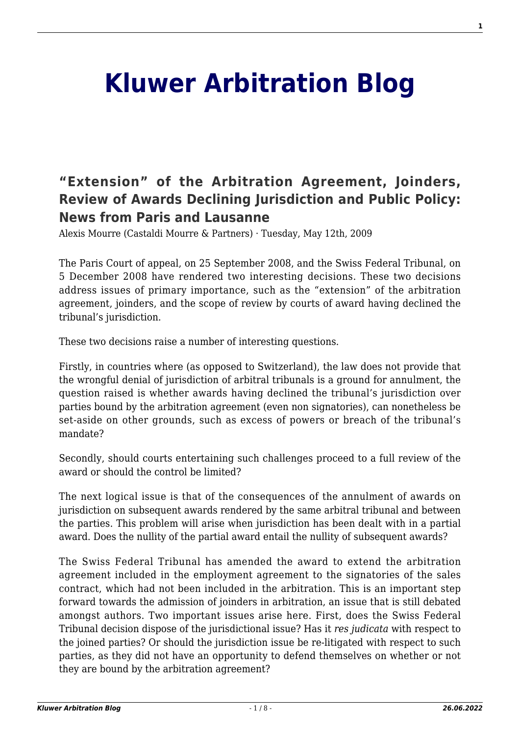# **[Kluwer Arbitration Blog](http://arbitrationblog.kluwerarbitration.com/)**

# **["Extension" of the Arbitration Agreement, Joinders,](http://arbitrationblog.kluwerarbitration.com/2009/05/12/extension-of-the-arbitration-agreement-joinders-review-of-awards-declining-jurisdiction-and-public-policy-news-from-paris-and-lausanne/) [Review of Awards Declining Jurisdiction and Public Policy:](http://arbitrationblog.kluwerarbitration.com/2009/05/12/extension-of-the-arbitration-agreement-joinders-review-of-awards-declining-jurisdiction-and-public-policy-news-from-paris-and-lausanne/) [News from Paris and Lausanne](http://arbitrationblog.kluwerarbitration.com/2009/05/12/extension-of-the-arbitration-agreement-joinders-review-of-awards-declining-jurisdiction-and-public-policy-news-from-paris-and-lausanne/)**

Alexis Mourre (Castaldi Mourre & Partners) · Tuesday, May 12th, 2009

The Paris Court of appeal, on 25 September 2008, and the Swiss Federal Tribunal, on 5 December 2008 have rendered two interesting decisions. These two decisions address issues of primary importance, such as the "extension" of the arbitration agreement, joinders, and the scope of review by courts of award having declined the tribunal's jurisdiction.

These two decisions raise a number of interesting questions.

Firstly, in countries where (as opposed to Switzerland), the law does not provide that the wrongful denial of jurisdiction of arbitral tribunals is a ground for annulment, the question raised is whether awards having declined the tribunal's jurisdiction over parties bound by the arbitration agreement (even non signatories), can nonetheless be set-aside on other grounds, such as excess of powers or breach of the tribunal's mandate?

Secondly, should courts entertaining such challenges proceed to a full review of the award or should the control be limited?

The next logical issue is that of the consequences of the annulment of awards on jurisdiction on subsequent awards rendered by the same arbitral tribunal and between the parties. This problem will arise when jurisdiction has been dealt with in a partial award. Does the nullity of the partial award entail the nullity of subsequent awards?

The Swiss Federal Tribunal has amended the award to extend the arbitration agreement included in the employment agreement to the signatories of the sales contract, which had not been included in the arbitration. This is an important step forward towards the admission of joinders in arbitration, an issue that is still debated amongst authors. Two important issues arise here. First, does the Swiss Federal Tribunal decision dispose of the jurisdictional issue? Has it *res judicata* with respect to the joined parties? Or should the jurisdiction issue be re-litigated with respect to such parties, as they did not have an opportunity to defend themselves on whether or not they are bound by the arbitration agreement?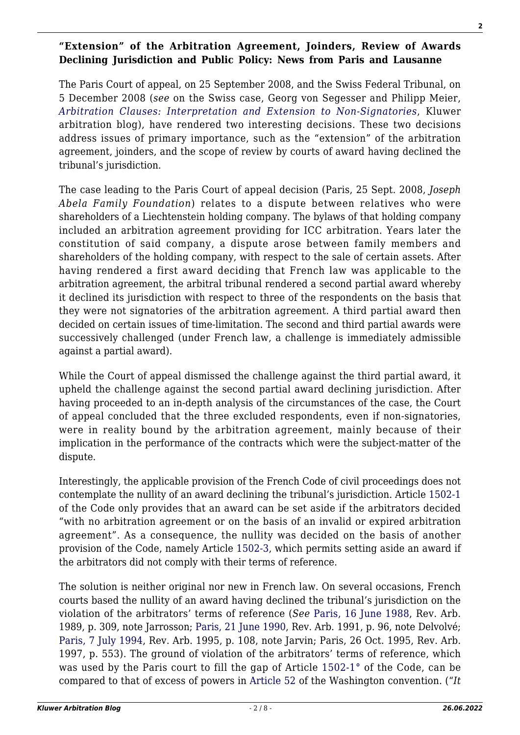#### **"Extension" of the Arbitration Agreement, Joinders, Review of Awards Declining Jurisdiction and Public Policy: News from Paris and Lausanne**

The Paris Court of appeal, on 25 September 2008, and the Swiss Federal Tribunal, on 5 December 2008 (*see* on the Swiss case, Georg von Segesser and Philipp Meier, *[Arbitration Clauses: Interpretation and Extension to Non-Signatories](http://wolterskluwerblogs.com/blog/2009/04/27/arbitration-clauses-interpretation-and-extension-to-non-si)*, Kluwer arbitration blog), have rendered two interesting decisions. These two decisions address issues of primary importance, such as the "extension" of the arbitration agreement, joinders, and the scope of review by courts of award having declined the tribunal's jurisdiction.

The case leading to the Paris Court of appeal decision (Paris, 25 Sept. 2008, *Joseph Abela Family Foundation*) relates to a dispute between relatives who were shareholders of a Liechtenstein holding company. The bylaws of that holding company included an arbitration agreement providing for ICC arbitration. Years later the constitution of said company, a dispute arose between family members and shareholders of the holding company, with respect to the sale of certain assets. After having rendered a first award deciding that French law was applicable to the arbitration agreement, the arbitral tribunal rendered a second partial award whereby it declined its jurisdiction with respect to three of the respondents on the basis that they were not signatories of the arbitration agreement. A third partial award then decided on certain issues of time-limitation. The second and third partial awards were successively challenged (under French law, a challenge is immediately admissible against a partial award).

While the Court of appeal dismissed the challenge against the third partial award, it upheld the challenge against the second partial award declining jurisdiction. After having proceeded to an in-depth analysis of the circumstances of the case, the Court of appeal concluded that the three excluded respondents, even if non-signatories, were in reality bound by the arbitration agreement, mainly because of their implication in the performance of the contracts which were the subject-matter of the dispute.

Interestingly, the applicable provision of the French Code of civil proceedings does not contemplate the nullity of an award declining the tribunal's jurisdiction. Article [1502-1](http://www.kluwerarbitration.com/arbitration/DocumentFrameSet.aspx?ipn=12067) of the Code only provides that an award can be set aside if the arbitrators decided "with no arbitration agreement or on the basis of an invalid or expired arbitration agreement". As a consequence, the nullity was decided on the basis of another provision of the Code, namely Article [1502-3,](http://www.kluwerarbitration.com/arbitration/DocumentFrameSet.aspx?ipn=12067) which permits setting aside an award if the arbitrators did not comply with their terms of reference.

The solution is neither original nor new in French law. On several occasions, French courts based the nullity of an award having declined the tribunal's jurisdiction on the violation of the arbitrators' terms of reference (*See* [Paris, 16 June 1988,](http://www.kluwerarbitration.com/arbitration/DocumentFrameSet.aspx?ipn=15309) Rev. Arb. 1989, p. 309, note Jarrosson; [Paris, 21 June 1990](http://www.kluwerarbitration.com/arbitration/DocumentFrameSet.aspx?ipn=18188), Rev. Arb. 1991, p. 96, note Delvolvé; [Paris, 7 July 1994](http://www.kluwerarbitration.com/arbitration/DocumentFrameSet.aspx?ipn=15041), Rev. Arb. 1995, p. 108, note Jarvin; Paris, 26 Oct. 1995, Rev. Arb. 1997, p. 553). The ground of violation of the arbitrators' terms of reference, which was used by the Paris court to fill the gap of Article [1502-1°](http://www.kluwerarbitration.com/arbitration/DocumentFrameSet.aspx?ipn=12067) of the Code, can be compared to that of excess of powers in [Article 52](http://icsid.worldbank.org/ICSID/StaticFiles/basicdoc_en-archive/ICSID_English.pdf) of the Washington convention. ("*It*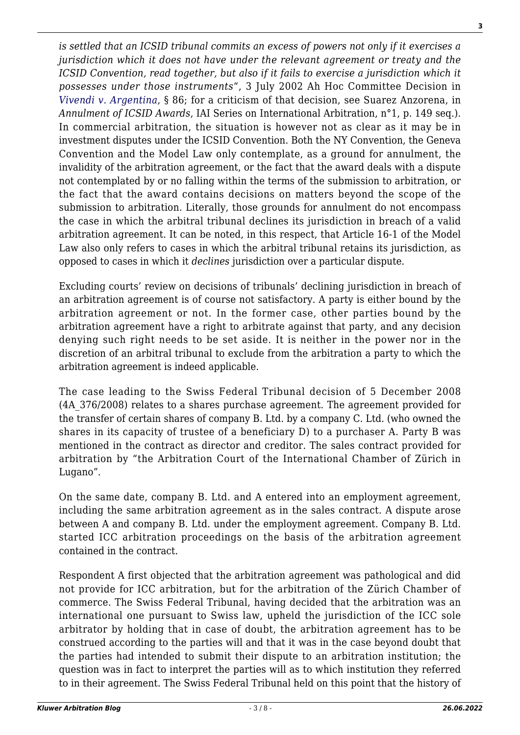*is settled that an ICSID tribunal commits an excess of powers not only if it exercises a jurisdiction which it does not have under the relevant agreement or treaty and the ICSID Convention, read together, but also if it fails to exercise a jurisdiction which it possesses under those instruments*", 3 July 2002 Ah Hoc Committee Decision in *[Vivendi v. Argentina](http://icsid.worldbank.org/ICSID/FrontServlet?requestType=CasesRH&actionVal=showDoc&docId=DC552_En&caseId=C159)*, § 86; for a criticism of that decision, see Suarez Anzorena, in *Annulment of ICSID Awards*, IAI Series on International Arbitration, n°1, p. 149 seq.). In commercial arbitration, the situation is however not as clear as it may be in investment disputes under the ICSID Convention. Both the NY Convention, the Geneva Convention and the Model Law only contemplate, as a ground for annulment, the invalidity of the arbitration agreement, or the fact that the award deals with a dispute not contemplated by or no falling within the terms of the submission to arbitration, or the fact that the award contains decisions on matters beyond the scope of the submission to arbitration. Literally, those grounds for annulment do not encompass the case in which the arbitral tribunal declines its jurisdiction in breach of a valid arbitration agreement. It can be noted, in this respect, that Article 16-1 of the Model Law also only refers to cases in which the arbitral tribunal retains its jurisdiction, as opposed to cases in which it *declines* jurisdiction over a particular dispute.

Excluding courts' review on decisions of tribunals' declining jurisdiction in breach of an arbitration agreement is of course not satisfactory. A party is either bound by the arbitration agreement or not. In the former case, other parties bound by the arbitration agreement have a right to arbitrate against that party, and any decision denying such right needs to be set aside. It is neither in the power nor in the discretion of an arbitral tribunal to exclude from the arbitration a party to which the arbitration agreement is indeed applicable.

The case leading to the Swiss Federal Tribunal decision of 5 December 2008 (4A\_376/2008) relates to a shares purchase agreement. The agreement provided for the transfer of certain shares of company B. Ltd. by a company C. Ltd. (who owned the shares in its capacity of trustee of a beneficiary D) to a purchaser A. Party B was mentioned in the contract as director and creditor. The sales contract provided for arbitration by "the Arbitration Court of the International Chamber of Zürich in Lugano".

On the same date, company B. Ltd. and A entered into an employment agreement, including the same arbitration agreement as in the sales contract. A dispute arose between A and company B. Ltd. under the employment agreement. Company B. Ltd. started ICC arbitration proceedings on the basis of the arbitration agreement contained in the contract.

Respondent A first objected that the arbitration agreement was pathological and did not provide for ICC arbitration, but for the arbitration of the Zürich Chamber of commerce. The Swiss Federal Tribunal, having decided that the arbitration was an international one pursuant to Swiss law, upheld the jurisdiction of the ICC sole arbitrator by holding that in case of doubt, the arbitration agreement has to be construed according to the parties will and that it was in the case beyond doubt that the parties had intended to submit their dispute to an arbitration institution; the question was in fact to interpret the parties will as to which institution they referred to in their agreement. The Swiss Federal Tribunal held on this point that the history of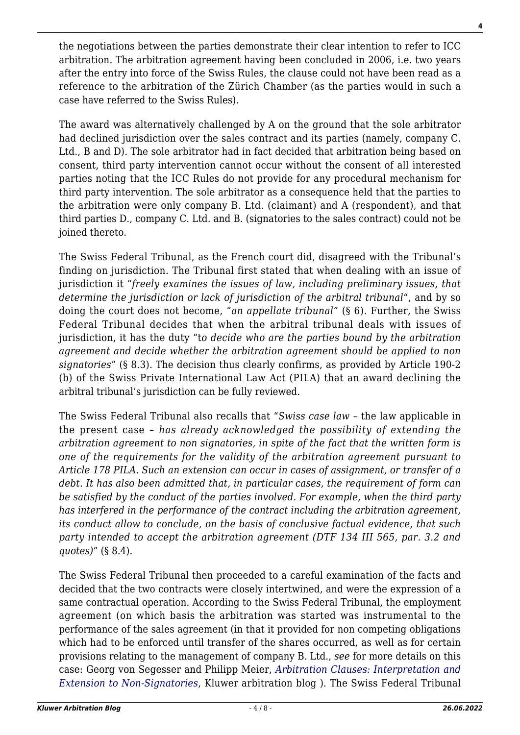the negotiations between the parties demonstrate their clear intention to refer to ICC arbitration. The arbitration agreement having been concluded in 2006, i.e. two years after the entry into force of the Swiss Rules, the clause could not have been read as a reference to the arbitration of the Zürich Chamber (as the parties would in such a case have referred to the Swiss Rules).

The award was alternatively challenged by A on the ground that the sole arbitrator had declined jurisdiction over the sales contract and its parties (namely, company C. Ltd., B and D). The sole arbitrator had in fact decided that arbitration being based on consent, third party intervention cannot occur without the consent of all interested parties noting that the ICC Rules do not provide for any procedural mechanism for third party intervention. The sole arbitrator as a consequence held that the parties to the arbitration were only company B. Ltd. (claimant) and A (respondent), and that third parties D., company C. Ltd. and B. (signatories to the sales contract) could not be joined thereto.

The Swiss Federal Tribunal, as the French court did, disagreed with the Tribunal's finding on jurisdiction. The Tribunal first stated that when dealing with an issue of jurisdiction it "*freely examines the issues of law, including preliminary issues, that determine the jurisdiction or lack of jurisdiction of the arbitral tribunal*", and by so doing the court does not become, "*an appellate tribunal*" (§ 6). Further, the Swiss Federal Tribunal decides that when the arbitral tribunal deals with issues of jurisdiction, it has the duty "t*o decide who are the parties bound by the arbitration agreement and decide whether the arbitration agreement should be applied to non signatories*" (§ 8.3). The decision thus clearly confirms, as provided by Article 190-2 (b) of the Swiss Private International Law Act (PILA) that an award declining the arbitral tribunal's jurisdiction can be fully reviewed.

The Swiss Federal Tribunal also recalls that "*Swiss case law* – the law applicable in the present case – *has already acknowledged the possibility of extending the arbitration agreement to non signatories, in spite of the fact that the written form is one of the requirements for the validity of the arbitration agreement pursuant to Article 178 PILA. Such an extension can occur in cases of assignment, or transfer of a debt. It has also been admitted that, in particular cases, the requirement of form can be satisfied by the conduct of the parties involved. For example, when the third party has interfered in the performance of the contract including the arbitration agreement, its conduct allow to conclude, on the basis of conclusive factual evidence, that such party intended to accept the arbitration agreement (DTF 134 III 565, par. 3.2 and quotes)*" (§ 8.4).

The Swiss Federal Tribunal then proceeded to a careful examination of the facts and decided that the two contracts were closely intertwined, and were the expression of a same contractual operation. According to the Swiss Federal Tribunal, the employment agreement (on which basis the arbitration was started was instrumental to the performance of the sales agreement (in that it provided for non competing obligations which had to be enforced until transfer of the shares occurred, as well as for certain provisions relating to the management of company B. Ltd., *see* for more details on this case: Georg von Segesser and Philipp Meier, *[Arbitration Clauses: Interpretation and](http://wolterskluwerblogs.com/blog/2009/04/27/arbitration-clauses-interpretation-and-extension-to-non-si) [Extension to Non-Signatories](http://wolterskluwerblogs.com/blog/2009/04/27/arbitration-clauses-interpretation-and-extension-to-non-si)*, Kluwer arbitration blog ). The Swiss Federal Tribunal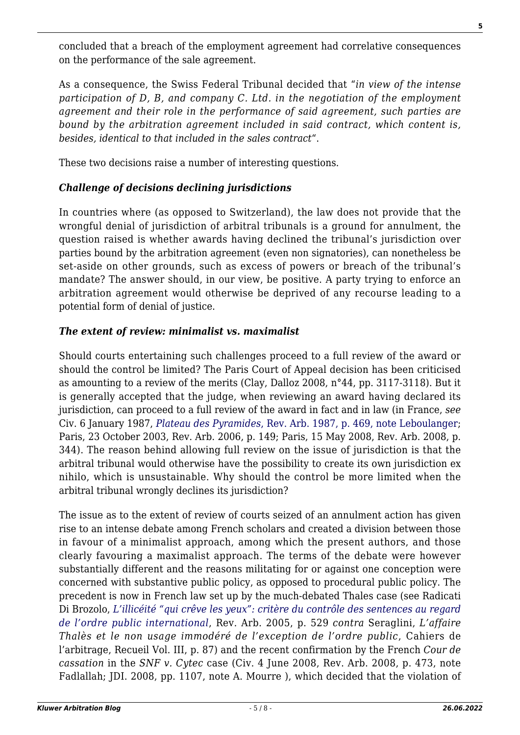concluded that a breach of the employment agreement had correlative consequences on the performance of the sale agreement.

As a consequence, the Swiss Federal Tribunal decided that "*in view of the intense participation of D, B, and company C. Ltd. in the negotiation of the employment agreement and their role in the performance of said agreement, such parties are bound by the arbitration agreement included in said contract, which content is, besides, identical to that included in the sales contract*".

These two decisions raise a number of interesting questions.

## *Challenge of decisions declining jurisdictions*

In countries where (as opposed to Switzerland), the law does not provide that the wrongful denial of jurisdiction of arbitral tribunals is a ground for annulment, the question raised is whether awards having declined the tribunal's jurisdiction over parties bound by the arbitration agreement (even non signatories), can nonetheless be set-aside on other grounds, such as excess of powers or breach of the tribunal's mandate? The answer should, in our view, be positive. A party trying to enforce an arbitration agreement would otherwise be deprived of any recourse leading to a potential form of denial of justice.

### *The extent of review: minimalist vs. maximalist*

Should courts entertaining such challenges proceed to a full review of the award or should the control be limited? The Paris Court of Appeal decision has been criticised as amounting to a review of the merits (Clay, Dalloz 2008, n°44, pp. 3117-3118). But it is generally accepted that the judge, when reviewing an award having declared its jurisdiction, can proceed to a full review of the award in fact and in law (in France, *see* Civ. 6 January 1987, *[Plateau des Pyramides](http://www.kluwerarbitration.com/arbitration/DocumentFrameSet.aspx?ipn=18852)*[, Rev. Arb. 1987, p. 469, note Leboulanger](http://www.kluwerarbitration.com/arbitration/DocumentFrameSet.aspx?ipn=18852); Paris, 23 October 2003, Rev. Arb. 2006, p. 149; Paris, 15 May 2008, Rev. Arb. 2008, p. 344). The reason behind allowing full review on the issue of jurisdiction is that the arbitral tribunal would otherwise have the possibility to create its own jurisdiction ex nihilo, which is unsustainable. Why should the control be more limited when the arbitral tribunal wrongly declines its jurisdiction?

The issue as to the extent of review of courts seized of an annulment action has given rise to an intense debate among French scholars and created a division between those in favour of a minimalist approach, among which the present authors, and those clearly favouring a maximalist approach. The terms of the debate were however substantially different and the reasons militating for or against one conception were concerned with substantive public policy, as opposed to procedural public policy. The precedent is now in French law set up by the much-debated Thales case (see Radicati Di Brozolo, *[L'illicéité "qui crêve les yeux": critère du contrôle des sentences au regard](http://www.kluwerarbitration.com/arbitration/DocumentFrameSet.aspx?ipn=26803) [de l'ordre public international](http://www.kluwerarbitration.com/arbitration/DocumentFrameSet.aspx?ipn=26803)*, Rev. Arb. 2005, p. 529 *contra* Seraglini, *L'affaire Thalès et le non usage immodéré de l'exception de l'ordre public*, Cahiers de l'arbitrage, Recueil Vol. III, p. 87) and the recent confirmation by the French *Cour de cassation* in the *SNF v. Cytec* case (Civ. 4 June 2008, Rev. Arb. 2008, p. 473, note Fadlallah; JDI. 2008, pp. 1107, note A. Mourre ), which decided that the violation of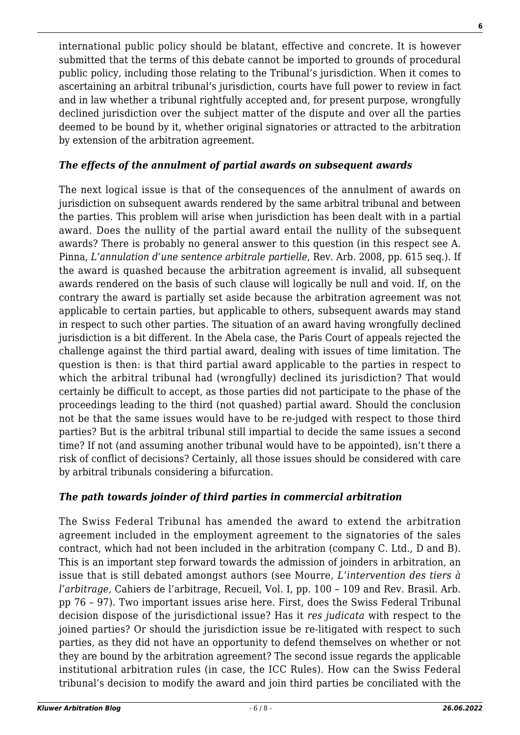international public policy should be blatant, effective and concrete. It is however submitted that the terms of this debate cannot be imported to grounds of procedural public policy, including those relating to the Tribunal's jurisdiction. When it comes to ascertaining an arbitral tribunal's jurisdiction, courts have full power to review in fact and in law whether a tribunal rightfully accepted and, for present purpose, wrongfully declined jurisdiction over the subject matter of the dispute and over all the parties deemed to be bound by it, whether original signatories or attracted to the arbitration by extension of the arbitration agreement.

### *The effects of the annulment of partial awards on subsequent awards*

The next logical issue is that of the consequences of the annulment of awards on jurisdiction on subsequent awards rendered by the same arbitral tribunal and between the parties. This problem will arise when jurisdiction has been dealt with in a partial award. Does the nullity of the partial award entail the nullity of the subsequent awards? There is probably no general answer to this question (in this respect see A. Pinna, *L'annulation d'une sentence arbitrale partielle*, Rev. Arb. 2008, pp. 615 seq.). If the award is quashed because the arbitration agreement is invalid, all subsequent awards rendered on the basis of such clause will logically be null and void. If, on the contrary the award is partially set aside because the arbitration agreement was not applicable to certain parties, but applicable to others, subsequent awards may stand in respect to such other parties. The situation of an award having wrongfully declined jurisdiction is a bit different. In the Abela case, the Paris Court of appeals rejected the challenge against the third partial award, dealing with issues of time limitation. The question is then: is that third partial award applicable to the parties in respect to which the arbitral tribunal had (wrongfully) declined its jurisdiction? That would certainly be difficult to accept, as those parties did not participate to the phase of the proceedings leading to the third (not quashed) partial award. Should the conclusion not be that the same issues would have to be re-judged with respect to those third parties? But is the arbitral tribunal still impartial to decide the same issues a second time? If not (and assuming another tribunal would have to be appointed), isn't there a risk of conflict of decisions? Certainly, all those issues should be considered with care by arbitral tribunals considering a bifurcation.

### *The path towards joinder of third parties in commercial arbitration*

The Swiss Federal Tribunal has amended the award to extend the arbitration agreement included in the employment agreement to the signatories of the sales contract, which had not been included in the arbitration (company C. Ltd., D and B). This is an important step forward towards the admission of joinders in arbitration, an issue that is still debated amongst authors (see Mourre, *L'intervention des tiers à l'arbitrage,* Cahiers de l'arbitrage, Recueil, Vol. I, pp. 100 – 109 and Rev. Brasil. Arb. pp 76 – 97). Two important issues arise here. First, does the Swiss Federal Tribunal decision dispose of the jurisdictional issue? Has it *res judicata* with respect to the joined parties? Or should the jurisdiction issue be re-litigated with respect to such parties, as they did not have an opportunity to defend themselves on whether or not they are bound by the arbitration agreement? The second issue regards the applicable institutional arbitration rules (in case, the ICC Rules). How can the Swiss Federal tribunal's decision to modify the award and join third parties be conciliated with the

**6**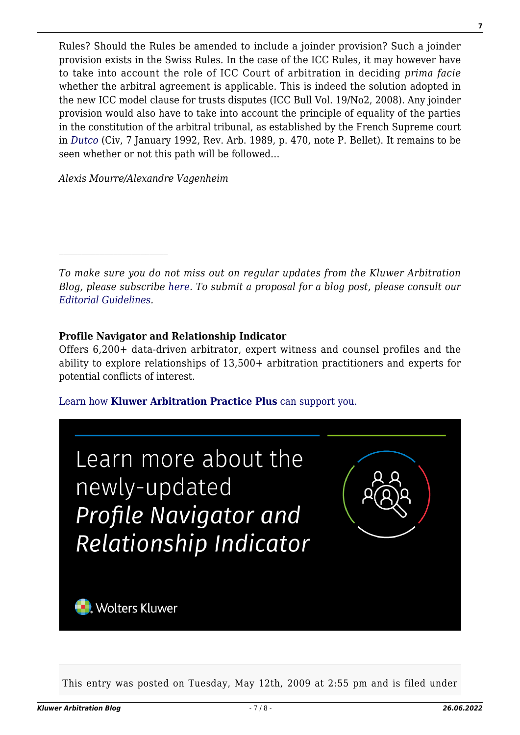Rules? Should the Rules be amended to include a joinder provision? Such a joinder provision exists in the Swiss Rules. In the case of the ICC Rules, it may however have to take into account the role of ICC Court of arbitration in deciding *prima facie* whether the arbitral agreement is applicable. This is indeed the solution adopted in the new ICC model clause for trusts disputes (ICC Bull Vol. 19/No2, 2008). Any joinder provision would also have to take into account the principle of equality of the parties in the constitution of the arbitral tribunal, as established by the French Supreme court in *[Dutco](http://www.kluwerarbitration.com/arbitration/DocumentFrameSet.aspx?ipn=15496)* (Civ, 7 January 1992, Rev. Arb. 1989, p. 470, note P. Bellet). It remains to be seen whether or not this path will be followed…

*Alexis Mourre/Alexandre Vagenheim*

*To make sure you do not miss out on regular updates from the Kluwer Arbitration Blog, please subscribe [here](http://arbitrationblog.kluwerarbitration.com/newsletter/). To submit a proposal for a blog post, please consult our [Editorial Guidelines.](http://arbitrationblog.kluwerarbitration.com/editorial-guidelines/)*

#### **Profile Navigator and Relationship Indicator**

Offers 6,200+ data-driven arbitrator, expert witness and counsel profiles and the ability to explore relationships of 13,500+ arbitration practitioners and experts for potential conflicts of interest.

[Learn how](https://www.wolterskluwer.com/en/solutions/kluwerarbitration/practiceplus?utm_source=arbitrationblog&utm_medium=articleCTA&utm_campaign=article-banner) **[Kluwer Arbitration Practice Plus](https://www.wolterskluwer.com/en/solutions/kluwerarbitration/practiceplus?utm_source=arbitrationblog&utm_medium=articleCTA&utm_campaign=article-banner)** [can support you.](https://www.wolterskluwer.com/en/solutions/kluwerarbitration/practiceplus?utm_source=arbitrationblog&utm_medium=articleCTA&utm_campaign=article-banner)



This entry was posted on Tuesday, May 12th, 2009 at 2:55 pm and is filed under